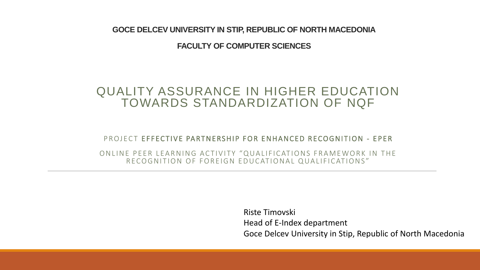**GOCE DELCEV UNIVERSITY IN STIP, REPUBLIC OF NORTH MACEDONIA**

**FACULTY OF COMPUTER SCIENCES** 

#### QUALITY ASSURANCE IN HIGHER EDUCATION TOWARDS STANDARDIZATION OF NQF

PROJECT EFFECTIVE PARTNERSHIP FOR ENHANCED RECOGNITION - EPER

ON LINE PEER LEARNING ACTIVITY "QUALIFICATIONS FRAMEWORK IN THE RECOGNITION OF FOREIGN EDUCATIONAL QUALIFICATIONS"

> Riste Timovski Head of E-Index department Goce Delcev University in Stip, Republic of North Macedonia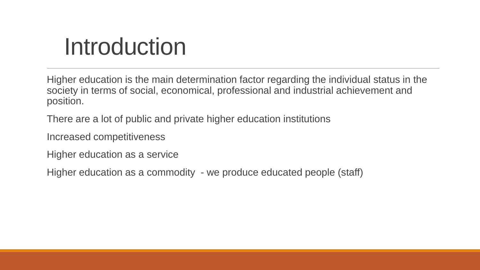## Introduction

Higher education is the main determination factor regarding the individual status in the society in terms of social, economical, professional and industrial achievement and position.

There are a lot of public and private higher education institutions

Increased competitiveness

Higher education as a service

Higher education as a commodity - we produce educated people (staff)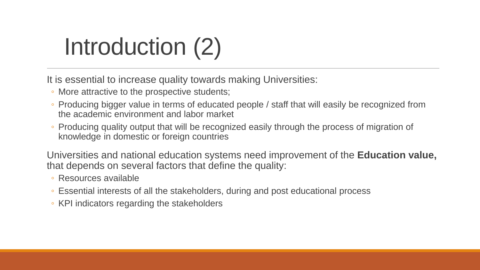# Introduction (2)

It is essential to increase quality towards making Universities:

- More attractive to the prospective students;
- Producing bigger value in terms of educated people / staff that will easily be recognized from the academic environment and labor market
- Producing quality output that will be recognized easily through the process of migration of knowledge in domestic or foreign countries

Universities and national education systems need improvement of the **Education value,**  that depends on several factors that define the quality:

- Resources available
- Essential interests of all the stakeholders, during and post educational process
- KPI indicators regarding the stakeholders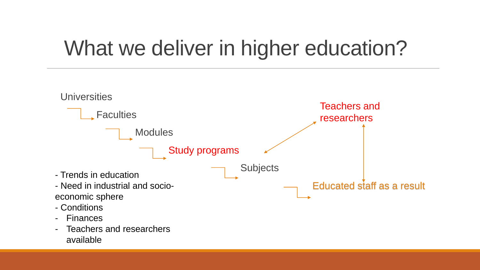### What we deliver in higher education?

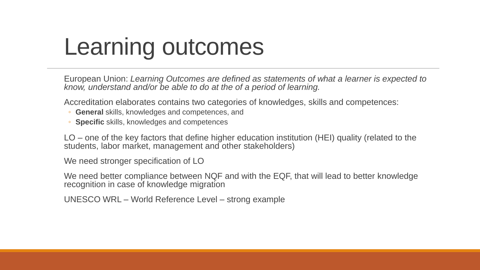## Learning outcomes

European Union: *Learning Outcomes are defined as statements of what a learner is expected to know, understand and/or be able to do at the of a period of learning.* 

Accreditation elaborates contains two categories of knowledges, skills and competences:

- **General** skills, knowledges and competences, and
- **Specific** skills, knowledges and competences

LO – one of the key factors that define higher education institution (HEI) quality (related to the students, labor market, management and other stakeholders)

We need stronger specification of LO

We need better compliance between NQF and with the EQF, that will lead to better knowledge recognition in case of knowledge migration

UNESCO WRL – World Reference Level – strong example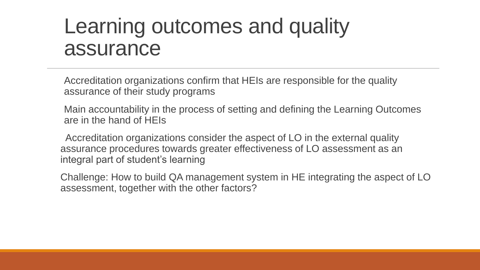#### Learning outcomes and quality assurance

Accreditation organizations confirm that HEIs are responsible for the quality assurance of their study programs

Main accountability in the process of setting and defining the Learning Outcomes are in the hand of HEIs

Accreditation organizations consider the aspect of LO in the external quality assurance procedures towards greater effectiveness of LO assessment as an integral part of student's learning

Challenge: How to build QA management system in HE integrating the aspect of LO assessment, together with the other factors?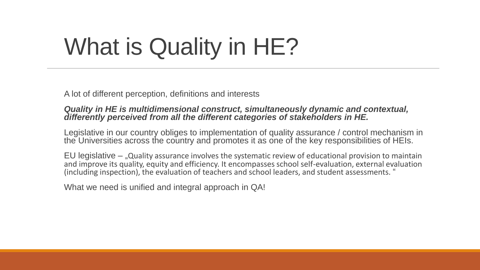# What is Quality in HE?

A lot of different perception, definitions and interests

#### *Quality in HE is multidimensional construct, simultaneously dynamic and contextual, differently perceived from all the different categories of stakeholders in HE.*

Legislative in our country obliges to implementation of quality assurance / control mechanism in the Universities across the country and promotes it as one of the key responsibilities of HEIs.

EU legislative  $-$  "Quality assurance involves the systematic review of educational provision to maintain and improve its quality, equity and efficiency. It encompasses school self-evaluation, external evaluation (including inspection), the evaluation of teachers and school leaders, and student assessments. "

What we need is unified and integral approach in QA!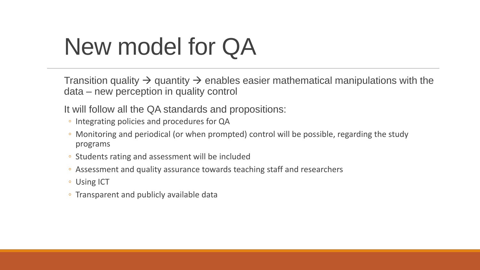## New model for QA

Transition quality  $\rightarrow$  quantity  $\rightarrow$  enables easier mathematical manipulations with the data – new perception in quality control

It will follow all the QA standards and propositions:

- Integrating policies and procedures for QA
- Monitoring and periodical (or when prompted) control will be possible, regarding the study programs
- Students rating and assessment will be included
- Assessment and quality assurance towards teaching staff and researchers
- Using ICT
- Transparent and publicly available data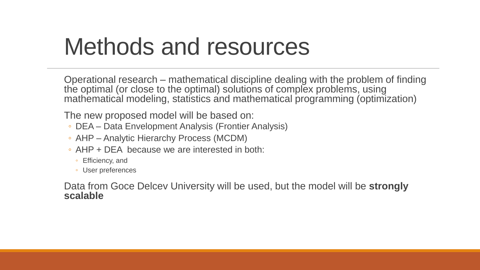## Methods and resources

Operational research – mathematical discipline dealing with the problem of finding the optimal (or close to the optimal) solutions of complex problems, using mathematical modeling, statistics and mathematical programming (optimization)

The new proposed model will be based on:

- DEA Data Envelopment Analysis (Frontier Analysis)
- AHP Analytic Hierarchy Process (MCDM)
- AHP + DEA because we are interested in both:
	- Efficiency, and
	- User preferences

Data from Goce Delcev University will be used, but the model will be **strongly scalable**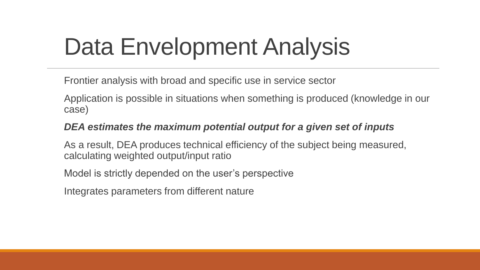## Data Envelopment Analysis

Frontier analysis with broad and specific use in service sector

Application is possible in situations when something is produced (knowledge in our case)

#### *DEA estimates the maximum potential output for a given set of inputs*

As a result, DEA produces technical efficiency of the subject being measured, calculating weighted output/input ratio

Model is strictly depended on the user's perspective

Integrates parameters from different nature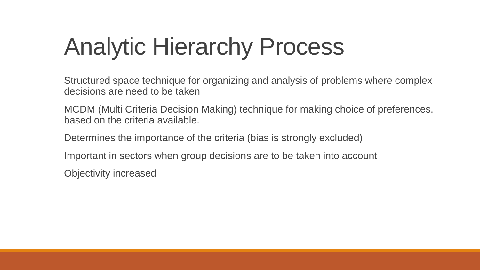# Analytic Hierarchy Process

Structured space technique for organizing and analysis of problems where complex decisions are need to be taken

MCDM (Multi Criteria Decision Making) technique for making choice of preferences, based on the criteria available.

Determines the importance of the criteria (bias is strongly excluded)

Important in sectors when group decisions are to be taken into account

Objectivity increased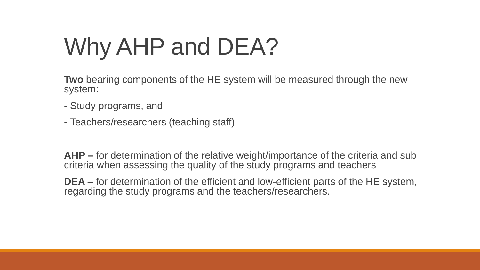# Why AHP and DEA?

**Two** bearing components of the HE system will be measured through the new system:

- **-** Study programs, and
- **-** Teachers/researchers (teaching staff)

**AHP –** for determination of the relative weight/importance of the criteria and sub criteria when assessing the quality of the study programs and teachers

**DEA –** for determination of the efficient and low-efficient parts of the HE system, regarding the study programs and the teachers/researchers.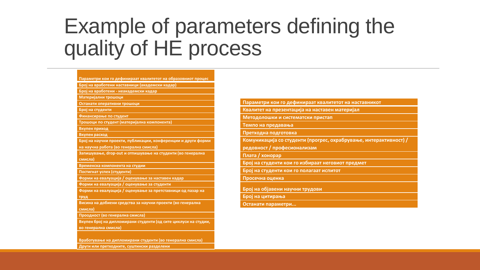#### Example of parameters defining the quality of HE process

|                  | Параметри кои го дефинираат квалитетот на образовниот процес    |
|------------------|-----------------------------------------------------------------|
|                  | Број на вработени наставници (академски кадар)                  |
|                  | Број на вработени - неакадемски кадар                           |
|                  | Материјални трошоци                                             |
|                  | Останати оперативни трошоци                                     |
| Број на студенти |                                                                 |
|                  | Финансирање по студент                                          |
|                  | Трошоци по студент (материјална компонента)                     |
| Вкупен приход    |                                                                 |
| Вкупен расход    |                                                                 |
|                  | Број на научни проекти, публикации, конференции и други форми   |
|                  | на научна работа (во генерална смисла)                          |
|                  | Запишување, drop-out и отпишување на студенти (во генерална     |
| смисла)          |                                                                 |
|                  | Временска компонента на студии                                  |
|                  | Постигнат успех (студенти)                                      |
|                  | Форми на евалуација / оценување за наставен кадар               |
|                  | Форми на евалуација / оценување за студенти                     |
|                  | Форми на евалуација / оценување за претставници од пазар на     |
| труд             |                                                                 |
|                  | Висина на добиени средства за научни проекти (во генерална      |
| смисла)          |                                                                 |
|                  | Проодност (во генерална смисла)                                 |
|                  | Вкупен број на дипломирани студенти (од сите циклуси на студии, |
|                  | во генерална смисла)                                            |

**Други или претходните, суштински разделени** 

| Параметри кои го дефинираат квалитетот на наставникот             |
|-------------------------------------------------------------------|
| Квалитет на презентација на наставен материјал                    |
| Методолошки и систематски пристап                                 |
| Темпо на предавања                                                |
| Претходна подготовка                                              |
| Комуникација со студенти (прогрес, охрабрување, интерактивност) / |
| редовност / професионализам                                       |
| Плата / хонорар                                                   |
| Број на студенти кои го избираат неговиот предмет                 |
| Број на студенти кои го полагаат испитот                          |
| Просечна оценка                                                   |
| Број на објавени научни трудови                                   |
| Број на цитирања                                                  |

**Останати параметри...**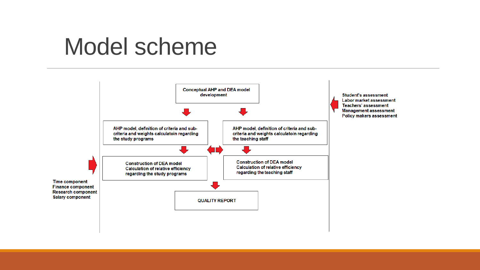### Model scheme

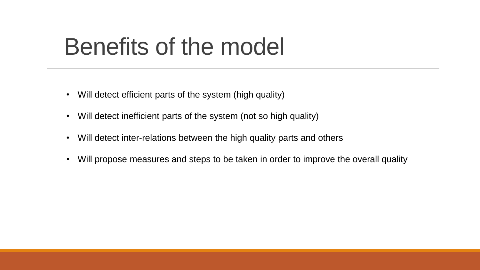## Benefits of the model

- Will detect efficient parts of the system (high quality)
- Will detect inefficient parts of the system (not so high quality)
- Will detect inter-relations between the high quality parts and others
- Will propose measures and steps to be taken in order to improve the overall quality